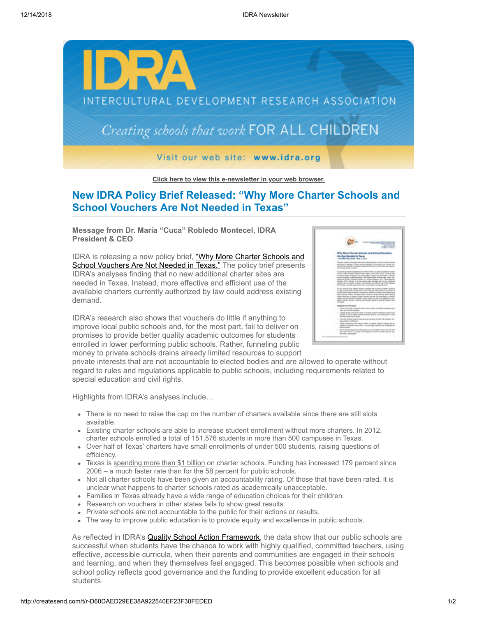

**[Click here to view this e-newsletter in your web browser.](http://newsletter.impulsedevelopment.com/t/r-e-ohyzjd-l-r/)**

## **New IDRA Policy Brief Released: "Why More Charter Schools and School Vouchers Are Not Needed in Texas"**

**Message from Dr. María "Cuca" Robledo Montecel, IDRA President & CEO**

[IDRA is releasing a new policy brief, "Why More Charter Schools and](http://idra.createsend1.com/t/r-l-ohyzjd-l-d/) School Vouchers Are Not Needed in Texas." The policy brief presents IDRA's analyses finding that no new additional charter sites are needed in Texas. Instead, more effective and efficient use of the available charters currently authorized by law could address existing demand.

IDRA's research also shows that vouchers do little if anything to improve local public schools and, for the most part, fail to deliver on promises to provide better quality academic outcomes for students enrolled in lower performing public schools. Rather, funneling public money to private schools drains already limited resources to support



private interests that are not accountable to elected bodies and are allowed to operate without regard to rules and regulations applicable to public schools, including requirements related to special education and civil rights.

Highlights from IDRA's analyses include…

- There is no need to raise the cap on the number of charters available since there are still slots available.
- Existing charter schools are able to increase student enrollment without more charters. In 2012, charter schools enrolled a total of 151,576 students in more than 500 campuses in Texas.
- Over half of Texas' charters have small enrollments of under 500 students, raising questions of efficiency.
- Texas is [spending more than \\$1 billion](http://idra.createsend1.com/t/r-l-ohyzjd-l-o/) on charter schools. Funding has increased 179 percent since 2006 – a much faster rate than for the 58 percent for public schools.
- Not all charter schools have been given an accountability rating. Of those that have been rated, it is unclear what happens to charter schools rated as academically unacceptable.
- Families in Texas already have a wide range of education choices for their children.
- Research on vouchers in other states fails to show great results.
- Private schools are not accountable to the public for their actions or results.
- The way to improve public education is to provide equity and excellence in public schools.

As reflected in IDRA's **Quality School Action Framework**, the data show that our public schools are successful when students have the chance to work with highly qualified, committed teachers, using effective, accessible curricula, when their parents and communities are engaged in their schools and learning, and when they themselves feel engaged. This becomes possible when schools and school policy reflects good governance and the funding to provide excellent education for all students.